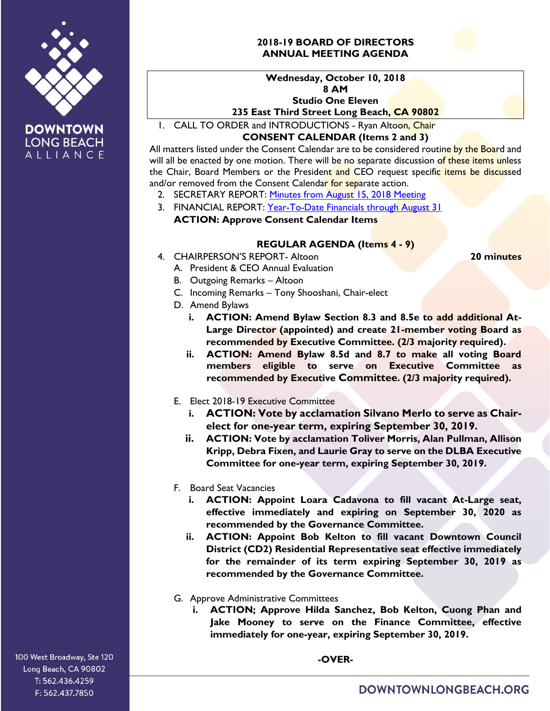

**DOWNTOWN LONG BEACH** ALLIANCE

# **2018-19 BOARD OF DIRECTORS ANNUAL MEETING AGENDA**



### **Wednesday, October 10, 2018 8 AM Studio One Eleven 235 East Third Street Long Beach, CA 90802**

1. CALL TO ORDER and INTRODUCTIONS - Ryan Altoon, Chair

## **CONSENT CALENDAR (Items 2 and 3)**

All matters listed under the Consent Calendar are to be considered routine by the Board and will all be enacted by one motion. There will be no separate discussion of these items unless the Chair, Board Members or the President and CEO request specific items be discussed and/or removed from the Consent Calendar for separate action.

- 2. SECRETARY REPORT: [Minutes from August 15, 2018](https://downtownlongbeach.org/wp-content/uploads/Board-8-15-18-Minutes.pdf) Meeting
- 3. FINANCIAL REPORT: [Year-To-Date Financials](https://downtownlongbeach.org/wp-content/uploads/11_DLBA-Financial-Package-2018-Aug_09.14.18-1.pdf) through August 31 **ACTION: Approve Consent Calendar Items**

## **REGULAR AGENDA (Items 4 - 9)**

4. CHAIRPERSON'S REPORT- Altoon **20 minutes**

- A. President & CEO Annual Evaluation
- B. Outgoing Remarks Altoon
- C. Incoming Remarks Tony Shooshani, Chair-elect
- D. Amend Bylaws
	- **i. ACTION: Amend Bylaw Section 8.3 and 8.5e to add additional At-Large Director (appointed) and create 21-member voting Board as recommended by Executive Committee. (2/3 majority required).**
	- **ii. ACTION: Amend Bylaw 8.5d and 8.7 to make all voting Board members eligible to serve on Executive Committee as recommended by Executive Committee. (2/3 majority required).**
- E. Elect 2018-19 Executive Committee
	- **i. ACTION: Vote by acclamation Silvano Merlo to serve as Chairelect for one-year term, expiring September 30, 2019.**
	- **ii. ACTION: Vote by acclamation Toliver Morris, Alan Pullman, Allison Kripp, Debra Fixen, and Laurie Gray to serve on the DLBA Executive Committee for one-year term, expiring September 30, 2019.**
- F. Board Seat Vacancies
	- **i. ACTION: Appoint Loara Cadavona to fill vacant At-Large seat, effective immediately and expiring on September 30, 2020 as recommended by the Governance Committee.**
	- **ii. ACTION: Appoint Bob Kelton to fill vacant Downtown Council District (CD2) Residential Representative seat effective immediately for the remainder of its term expiring September 30, 2019 as recommended by the Governance Committee.**
- G. Approve Administrative Committees
	- **i. ACTION; Approve Hilda Sanchez, Bob Kelton, Cuong Phan and Jake Mooney to serve on the Finance Committee, effective immediately for one-year, expiring September 30, 2019.**

100 West Broadway, Ste 120 Long Beach, CA 90802 T: 562.436.4259 F: 562.437.7850

**-OVER-**